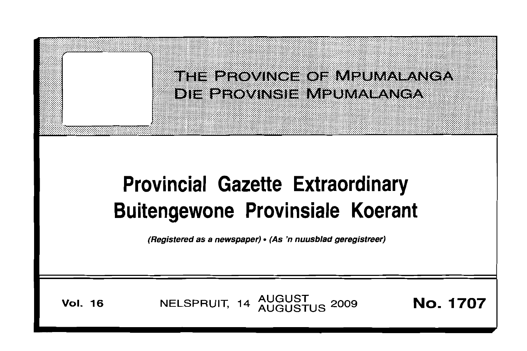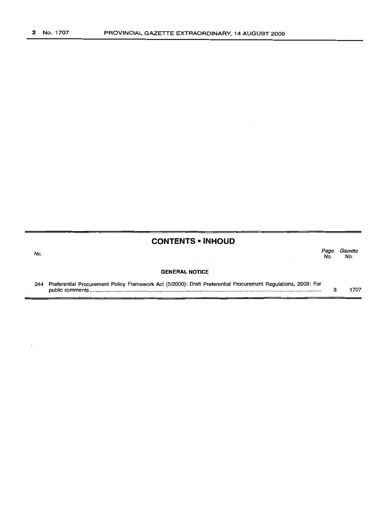No.

# **CONTENTS • INHOUD**

Page Gazette<br>No. No. No. No.

#### **GENERAL NOTICE**

244 Preferential Procurement Policy Framework Act (5/2000): Draft Preferential Procurement Regulations, 2009: For public comments . 3 1707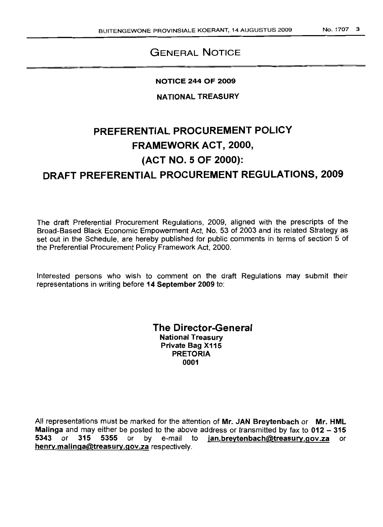# **GENERAL NOTICE**

# **NOTICE 244 OF 2009**

**NATIONAL TREASURY**

# **PREFERENTIAL PROCUREMENT POLICY FRAMEWORK ACT, 2000, (ACT NO.5 OF 2000): DRAFT PREFERENTIAL PROCUREMENT REGULATIONS, 2009**

The draft Preferential Procurement Regulations, 2009, aligned with the prescripts of the Broad-Based Black Economic Empowerment Act, No. 53 of 2003 and its related Strategy as set out in the Schedule, are hereby published for public comments in terms of section 5 of the Preferential Procurement Policy Framework Act, 2000.

Interested persons who wish to comment on the draft Regulations may submit their representations in writing before **14 September 2009** to:

> **The Director-General National Treasury Private Bag X115 PRETORIA 0001**

All representations must be marked for the attention of **Mr. JAN Breytenbach or Mr. HML Malinga** and may either be posted to the above address or transmitted by fax to **012 - 315 5343 or 315 5355** or bye-mail to **jan.breytenbach@treasury.gov.za** or **henry.malinga@treasury.gov.za** respectively.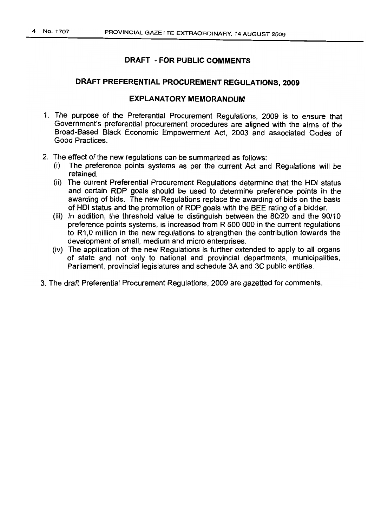# DRAFT PREFERENTIAL PROCUREMENT REGULATIONS, 2009

#### EXPLANATORY MEMORANDUM

- 1. The purpose of the Preferential Procurement Regulations, 2009 is to ensure that Government's preferential procurement procedures are aligned with the aims of the Broad-Based Black Economic Empowerment Act, 2003 and associated Codes of Good Practices.
- 2. The effect of the new regulations can be summarized as follows:
	- (i) The preference points systems as per the current Act and Regulations will be retained.
	- (ii) The current Preferential Procurement Regulations determine that the HOI status and certain ROP goals should be used to determine preference points in the awarding of bids. The new Regulations replace the awarding of bids on the basis of HOI status and the promotion of ROP goals with the BEE rating of a bidder.
	- (iii) In addition, the threshold value to distinguish between the 80/20 and the 90/10 preference points systems, is increased from R 500 000 in the current regulations to R1,0 million in the new regulations to strengthen the contribution towards the development of small, medium and micro enterprises.
	- (iv) The application of the new Regulations is further extended to apply to all organs of state and not only to national and provincial departments, municipalities, Parliament, provincial legislatures and schedule 3A and 3C public entities.
- 3. The draft Preferential Procurement Regulations, 2009 are gazetted for comments.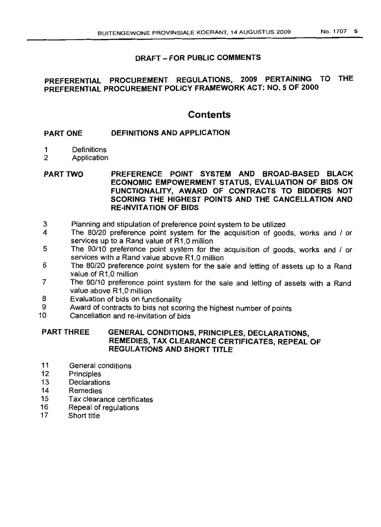# **PREFERENTIAL PROCUREMENT REGULATIONS, 2009 PERTAINING TO THE PREFERENTIAL PROCUREMENT POLICY FRAMEWORK ACT: NO.5 OF 2000**

# **Contents**

#### PART ONE **DEFINITIONS AND APPLICATION**

- 1 Definitions
- 2 Application
- PART TWO **PREFERENCE POINT SYSTEM AND BROAD-BASED BLACK ECONOMIC EMPOWERMENT STATUS, EVALUATION OF BIDS ON FUNCTIONALITY, AWARD OF CONTRACTS TO BIDDERS NOT SCORING THE HIGHEST POINTS AND THE CANCELLATION AND RE-INVITATION OF BIDS**
- 3 Planning and stipulation of preference point system to be utilized<br>4 The 80/20 preference point system for the acquisition of good
- 4 The 80/20 preference point system for the acquisition of goods, works and / or services up to a Rand value of R1,O million
- 5 The 90/10 preference point system for the acquisition of goods, works and / or services with a Rand value above R1,0 million
- 6 The 80/20 preference point system for the sale and letting of assets up to a Rand value of R1.0 million
- 7 The 90/10 preference point system for the sale and letting of assets with a Rand value above R1,0 million
- 8 Evaluation of bids on functionality
- 9 Award of contracts to bids not scoring the highest number of points<br>10 Cancellation and re-invitation of hids
- Cancellation and re-invitation of bids

# PART THREE **GENERAL CONDITIONS, PRINCIPLES, DECLARATIONS, REMEDIES, TAX CLEARANCE CERTIFICATES, REPEAL OF REGULATIONS AND SHORT TITLE**

- 11 General conditions
- 12 Principles
- 13 Declarations
- 14 Remedies
- 15 Tax clearance certificates
- 16 Repeal of regulations
- 17 Short title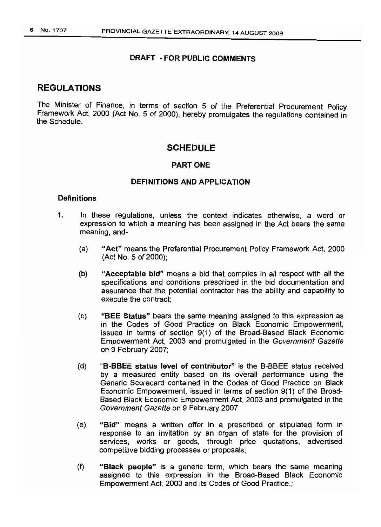# REGULATIONS

The Minister of Finance, in terms of section 5 of the Preferential Procurement Policy Framework Act, 2000 (Act No. 5 of 2000), hereby promulgates the regulations contained in the Schedule.

# SCHEDULE

#### PART ONE

# DEFINITIONS AND APPLICATION

# **Definitions**

- 1. In these regulations, unless the context indicates otherwise, a word or expression to which a meaning has been assigned in the Act bears the same meaning, and-
	- (a) "Act" means the Preferential Procurement Policy Framework Act, 2000 (Act No.5 of 2000);
	- (b) "Acceptable bid" means a bid that complies in all respect with all the specifications and conditions prescribed in the bid documentation and assurance that the potential contractor has the ability and capability to execute the contract;
	- (c) "BEE Status" bears the same meaning assigned to this expression as in the Codes of Good Practice on Black Economic Empowerment, issued in terms of section 9(1) of the Broad-Based Black Economic Empowerment Act, 2003 and promulgated in the Government Gazette on 9 February 2007;
	- (d) "B-BBEE status level of contributor" is the B-BBEE status received by a measured entity based on its overall performance using the Generic Scorecard contained in the Codes of Good Practice on Black Economic Empowerment, issued in terms of section 9(1) of the Broad-Based Black Economic Empowerment Act, 2003 and promulgated in the Government Gazette on 9 February 2007
	- (e) "Bid" means a written offer in a prescribed or stipulated form in response to an invitation by an organ of state for the provision of services, works or goods, through price quotations, advertised competitive bidding processes or proposals;
	- (f) "Black people" is a generic term, which bears the same meaning assigned to this expression in the Broad-Based Black Economic Empowerment Act, 2003 and its Codes of Good Practice.;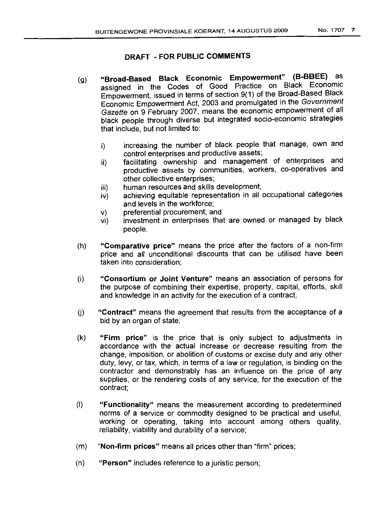- (g) "Broad-Based Black Economic Empowerment" (B-BBEE) as assigned in the Codes of Good Practice on Black Economic Empowerment, issued in terms of section 9(1) of the Broad-Based Black Economic Empowerment Act, 2003 and promulgated in the Government Gazette on 9 February 2007, means the economic empowerment of all black people through diverse but integrated socio-economic strategies that include, but not limited to:
	- i) increasing the number of black people that manage, own and control enterprises and productive assets;
	- ii) facilitating ownership and management of enterprises and productive assets by communities, workers, co-operatives and other collective enterprises;
	- iii) human resources and skills development;
	- iv) achieving equitable representation in all occupational categories and levels in the workforce;
	- v) preferential procurement; and
	- vi) investment in enterprises that are owned or managed by black people.
- (h) "Comparative price" means the price after the factors of a non-firm price and all unconditional discounts that can be utilised have been taken into consideration;
- (i) "Consortium or Joint Venture" means an association of persons for the purpose of combining their expertise, property, capital, efforts, skill and knowledge in an activity for the execution of a contract;
- 0) "Contract" means the agreement that results from the acceptance of a bid by an organ of state;
- (k) "Firm price" is the price that is only subject to adjustments in accordance with the actual increase or decrease resulting from the change, imposition, or abolition of customs or excise duty and any other duty, levy, or tax, which, in terms of a law or regulation, is binding on the contractor and demonstrably has an influence on the price of any supplies, or the rendering costs of any service, for the execution of the contract;
- (I) "Functionality" means the measurement according to predetermined norms of a service or commodity designed to be practical and useful, working or operating, taking into account among others quality, reliability, Viability and durability of a service;
- (m) "Non-firm prices" means all prices other than "firm" prices;
- (n) "Person" includes reference to a juristic person;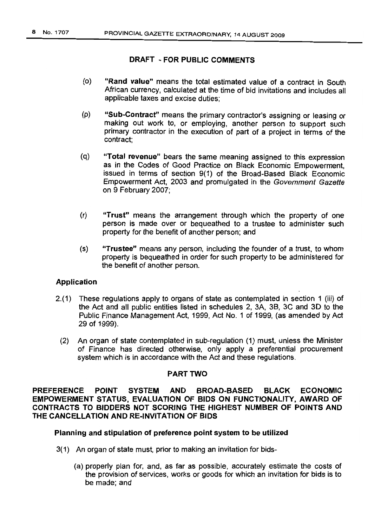- (0) "Rand value" means the total estimated value of a contract in South African currency, calculated at the time of bid invitations and includes all applicable taxes and excise duties;
- (p) "Sub-Contract" means the primary contractor's assigning or leasing or making out work to, or employing, another person to support such primary contractor in the execution of part of a project in terms of the contract;
- (q) "Total revenue" bears the same meaning assigned to this expression as in the Codes of Good Practice on Black Economic Empowerment, issued in terms of section 9(1) of the Broad-Based Black Economic Empowerment Act, 2003 and promulgated in the Government Gazette on 9 February 2007;
- (r) "Trust" means the arrangement through which the property of one person is made over or bequeathed to a trustee to administer such property for the benefit of another person; and
- (s) "Trustee" means any person, including the founder of a trust, to whom property is bequeathed in order for such property to be administered for the benefit of another person.

# Application

- 2.(1) These regulations apply to organs of state as contemplated in section 1 (iii) of the Act and all public entities listed in schedules 2, 3A, 3B, 3C and 3D to the Public Finance Management Act, 1999, Act No. 1 of 1999, (as amended by Act 29 of 1999).
	- (2) An organ of state contemplated in sub-requlaficn (1) must, unless the Minister of Finance has directed otherwise, only apply a preferential procurement system which is in accordance with the Act and these regulations.

# PART TWO

PREFERENCE POINT SYSTEM AND BROAD-BASED BLACK ECONOMIC EMPOWERMENT STATUS, EVALUATION OF BIDS ON FUNCTIONALITY, AWARD OF CONTRACTS TO BIDDERS NOT SCORING THE HIGHEST NUMBER OF POINTS AND THE CANCELLATION AND RE-INVITATION OF BIDS

# Planning and stipulation of preference point system to be utilized

- 3(1) An organ of state must, prior to making an invitation for bids-
	- (a) properly plan for, and, as far as possible, accurately estimate the costs of the provision of services, works or goods for which an invitation for bids is to be made; and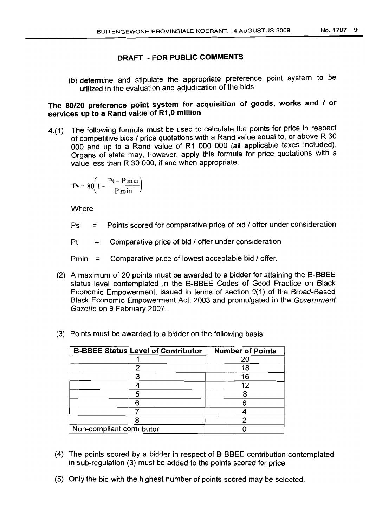(b) determine and stipulate the appropriate preference point system to be utilized in the evaluation and adjudication of the bids.

# The 80/20 preference point system for acquisition of goods, works and / or services up to a Rand value of R1,0 million

4.(1) The following formula must be used to calculate the points for price in respect of competitive bids / price quotations with a Rand value equal to, or above R 30 000 and up to a Rand value of R1 000 000 (all applicable taxes included). Organs of state may, however, apply this formula for price quotations with a value less than R 30 000, if and when appropriate:

$$
Ps = 80 \left( 1 - \frac{Pt - P\min}{P\min} \right)
$$

**Where** 

 $Ps =$  Points scored for comparative price of bid  $\ell$  offer under consideration

 $Pt = Comparative price of bid / offer under consideration$ 

Pmin  $\equiv$  Comparative price of lowest acceptable bid / offer.

- (2) A maximum of 20 points must be awarded to a bidder for attaining the B-BBEE status level contemplated in the B-BBEE Codes of Good Practice on Black Economic Empowerment, issued in terms of section 9(1) of the Broad-Based Black Economic Empowerment Act, 2003 and promulgated in the Government Gazette on 9 February 2007.
- (3) Points must be awarded to a bidder on the following basis:

| <b>B-BBEE Status Level of Contributor</b> | <b>Number of Points</b> |
|-------------------------------------------|-------------------------|
|                                           | 20                      |
|                                           | 18                      |
|                                           | 16                      |
|                                           | 12                      |
|                                           |                         |
|                                           |                         |
|                                           |                         |
|                                           |                         |
| Non-compliant contributor                 |                         |

- (4) The points scored by a bidder in respect of B-BBEE contribution contemplated in sub-requlation (3) must be added to the points scored for price.
- (5) Only the bid with the highest number of points scored may be selected.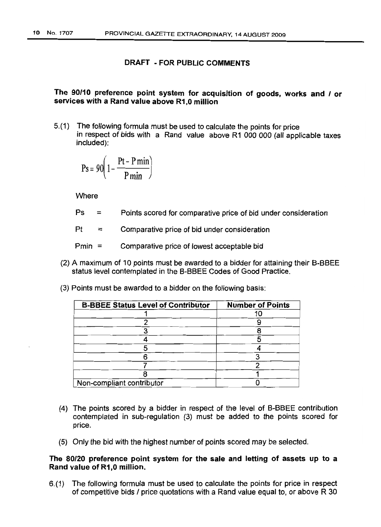# The 90/10 preference point system for acquisition of goods, works and / or services with a Rand value above R1,0 million

5.(1) The following formula must be used to calculate the points for price in respect of bids with a Rand value above R1 000 000 (all applicable taxes included):

$$
Ps = 90 \left( 1 - \frac{Pt - P \min}{P \min} \right)
$$

**Where** 

 $Ps =$ Points scored for comparative price of bid under consideration

 $Pt =$ Comparative price of bid under consideration

- Pmin = Comparative price of lowest acceptable bid
- (2) A maximum of 10 points must be awarded to a bidder for attaining their B-BBEE status level contemplated in the B-BBEE Codes of Good Practice.
	- **B-BBEE Status Level of Contributor Number of Points** 1 10 2 9 3 8 4 5 5 <u>4 (a) 1</u> 6 3 7 2 8 1 Non-compliant contributor 0
- (3) Points must be awarded to a bidder on the following basis:

- (4) The points scored by a bidder in respect of the level of B-BBEE contribution contemplated in sub-regulation (3) must be added to the points scored for price.
- (5) Only the bid with the highest number of points scored may be selected.

#### The 80/20 preference point system for the sale and letting of assets up to a Rand value of R1,0 million.

6.(1) The following formula must be used to calculate the points for price in respect of competitive bids I price quotations with a Rand value equal to, or above R 30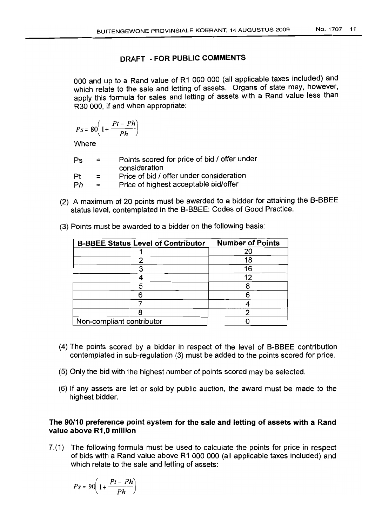000 and up to a Rand value of R1 000 000 (all applicable taxes included) and which relate to the sale and letting of assets. Organs of state may, however, apply this formula for sales and letting of assets with a Rand value less than R30 000, if and when appropriate:

$$
Ps = 80\left(1 + \frac{Pt - Ph}{Ph}\right)
$$

**Where** 

| Ps | $=$ | Points scored for price of bid / offer under<br>consideration |
|----|-----|---------------------------------------------------------------|
| Pt | $=$ | Price of bid / offer under consideration                      |
| Ph | $=$ | Price of highest acceptable bid/offer                         |

(2) A maximum of 20 points must be awarded to a bidder for attaining the B-BBEE status level, contemplated in the B-BBEE: Codes of Good Practice.

| <b>B-BBEE Status Level of Contributor</b> | <b>Number of Points</b> |
|-------------------------------------------|-------------------------|
|                                           | 20                      |
|                                           | 18                      |
|                                           | 16                      |
|                                           | 12                      |
|                                           |                         |
|                                           | 6                       |
|                                           |                         |
|                                           |                         |
| Non-compliant contributor                 |                         |

(3) Points must be awarded to a bidder on the following basis:

- (4) The points scored by a bidder in respect of the level of B-BBEE contribution contemplated in sub-regulation (3) must be added to the points scored for price.
- (5) Only the bid with the highest number of points scored may be selected.
- (6) If any assets are let or sold by public auction, the award must be made to the highest bidder.

# The 90/10 preference point system for the sale and letting of assets with a Rand value above R1,0 million

7.(1) The following formula must be used to calculate the points for price in respect of bids with a Rand value above R1 000 000 (all applicable taxes included) and which relate to the sale and letting of assets:

$$
Ps = 90\left(1 + \frac{Pt - Ph}{Ph}\right)
$$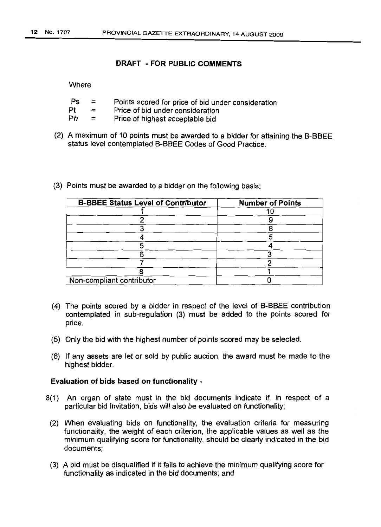#### **Where**

| Ps  | $=$ | Points scored for price of bid under consideration |  |  |
|-----|-----|----------------------------------------------------|--|--|
| Pt  | $=$ | Price of bid under consideration                   |  |  |
| - - |     |                                                    |  |  |

- $Ph =$ Price of highest acceptable bid
- (2) A maximum of 10 points must be awarded to a bidder for attaining the B-BBEE status level contemplated B-BBEE Codes of Good Practice.
- (3) Points must be awarded to a bidder on the following basis:

| <b>B-BBEE Status Level of Contributor</b> | <b>Number of Points</b> |
|-------------------------------------------|-------------------------|
|                                           |                         |
|                                           |                         |
|                                           |                         |
|                                           |                         |
|                                           |                         |
|                                           |                         |
|                                           |                         |
|                                           |                         |
| Non-compliant contributor                 |                         |

- (4) The points scored by a bidder in respect of the level of B-BBEE contribution contemplated in sub-regulation (3) must be added to the points scored for price.
- (5) Only the bid with the highest number of points scored may be selected.
- (6) If any assets are let or sold by public auction, the award must be made to the highest bidder.

#### **Evaluation of bids based on functionality -**

- 8(1) An organ of state must in the bid documents indicate if, in respect of a particular bid invitation, bids will also be evaluated on functionality;
- (2) When evaluating bids on functionality, the evaluation criteria for measuring functionality, the weight of each criterion, the applicable values as well as the minimum qualifying score for functionality, should be clearly indicated in the bid documents;
- (3) A bid must be disqualified if it fails to achieve the minimum qualifying score for functionality as indicated in the bid documents; and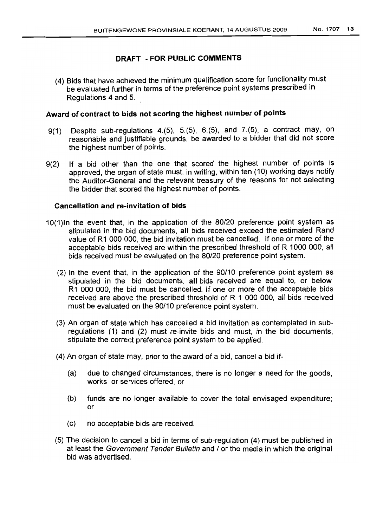(4) Bids that have achieved the minimum qualification score for functionality must be evaluated further in terms of the preference point systems prescribed in Regulations 4 and 5.

# **Award of contract to bids not scoring the highest number of points**

- 9(1) Despite sub-regulations 4.(5), 5.(5), 6.(5), and 7.(5), a contract may, on reasonable and justifiable grounds, be awarded to a bidder that did not score the highest number of points.
- 9(2) If a bid other than the one that scored the highest number of points is approved, the organ of state must, in writing, within ten (10) working days notify the Auditor-General and the relevant treasury of the reasons for not selecting the bidder that scored the highest number of points.

#### **Cancellation and re-invitation of bids**

- 10(1)ln the event that, in the application of the 80/20 preference point system as stipulated in the bid documents, **all** bids received exceed the estimated Rand value of R1 000 000, the bid invitation must be cancelled. If one or more of the acceptable bids received are within the prescribed threshold of R 1000 000, all bids received must be evaluated on the 80/20 preference point system.
	- (2) In the event that, in the application of the 90/10 preference point system as stipulated in the bid documents, **all** bids received are equal to, or below R1 000 000, the bid must be cancelled. If one or more of the acceptable bids received are above the prescribed threshold of R 1 000 000, all bids received must be evaluated on the 90/10 preference point system.
	- (3) An organ of state which has cancelled a bid invitation as contemplated in subregulations (1) and (2) must re-invite bids and must, in the bid documents, stipulate the correct preference point system to be applied.
	- (4) An organ of state may, prior to the award of a bid, cancel a bid if-
		- (a) due to changed circumstances, there is no longer a need for the goods, works or services offered, or
		- (b) funds are no longer available to cover the total envisaged expenditure; or
		- (c) no acceptable bids are received.
	- (5) The decision to cancel a bid in terms of sub-regulation (4) must be published in at least the Government Tender Bulletin and / or the media in which the original bid was advertised.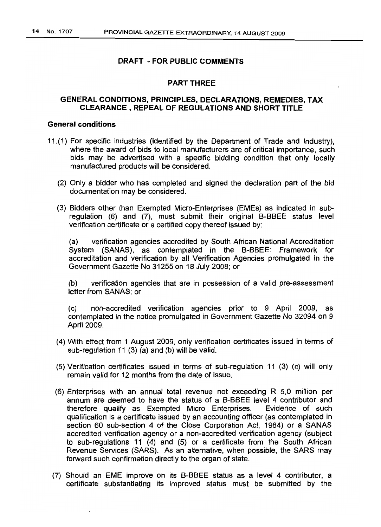#### PART THREE

#### **GENERAL CONDITIONS, PRINCIPLES, DECLARATIONS, REMEDIES, TAX CLEARANCE, REPEAL OF REGULATIONS AND SHORT TITLE**

#### **General conditions**

- 11.(1) For specific industries (identified by the Department of Trade and Industry), where the award of bids to local manufacturers are of critical importance, such bids may be advertised with a specific bidding condition that only locally manufactured products will be considered.
	- (2) Only a bidder who has completed and signed the declaration part of the bid documentation may be considered.
	- (3) Bidders other than Exempted Micro-Enterprises (EMEs) as indicated in subregulation (6) and (7), must submit their original B-BBEE status level verification certificate or a certified copy thereof issued by:

(a) verification agencies accredited by South African National Accreditation System (SANAS), as contemplated in the B-BBEE: Framework for accreditation and verification by all Verification Agencies promulgated in the Government Gazette No 31255 on 18 July 2008; or

(b) verification agencies that are in possession of a valid pre-assessment letter from SANAS; or

(c) non-accredited verification agencies prior to 9 April 2009, as contemplated in the notice promulgated in Government Gazette No 32094 on 9 April 2009.

- (4) With effect from 1 August 2009, only verification certificates issued in terms of sub-regulation 11 (3) (a) and (b) will be valid.
- (5) Verification certificates issued in terms of sub-regulation 11 (3) (c) will only remain valid for 12 months from the date of issue.
- (6) Enterprises with an annual total revenue not exceeding R 5,0 million per annum are deemed to have the status of a B-BBEE level 4 contributor and therefore qualify as Exempted Micro Enterprises. Evidence of such qualification is a certificate issued by an accounting officer (as contemplated in section 60 sub-section 4 of the Close Corporation Act, 1984) or a SANAS accredited verification agency or a non-accredited verification agency (subject to sub-regulations 11 (4) and (5) or a certificate from the South African Revenue Services (SARS). As an alternative, when possible, the SARS may forward such confirmation directly to the organ of state.
- (7) Should an EME improve on its B-BBEE status as a level 4 contributor, a certificate substantiating its improved status must be submitted by the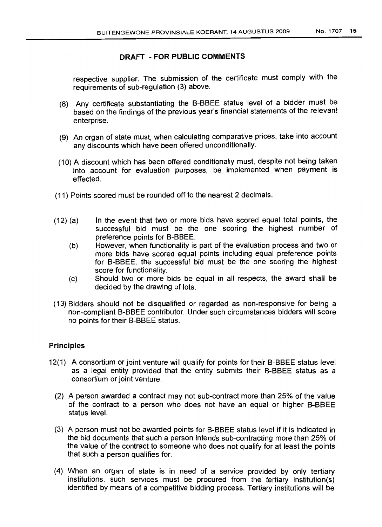respective supplier. The submission of the certificate must comply with the requirements of sub-regulation (3) above.

- (8) Any certificate substantiating the B-BBEE status level of a bidder must be based on the findings of the previous year's financial statements of the relevant enterprise.
- (9) An organ of state must, when calculating comparative prices, take into account any discounts which have been offered unconditionally.
- (10) A discount which has been offered conditionally must, despite not being taken into account for evaluation purposes, be implemented when payment is effected.
- (11) Points scored must be rounded off to the nearest 2 decimals.
- (12) (a) In the event that two or more bids have scored equal total points, the successful bid must be the one scoring the highest number of preference points for B-BBEE.
	- (b) However, when functionality is part of the evaluation process and two or more bids have scored equal points including equal preference points for B-BBEE, the successful bid must be the one scoring the highest score for functionality.
	- (c) Should two or more bids be equal in all respects, the award shall be decided by the drawing of lots.
- (13) Bidders should not be disqualified or regarded as non-responsive for being a non-compliant B-BBEE contributor. Under such circumstances bidders will score no points for their B-BBEE status.

#### **Principles**

- 12(1) A consortium or joint venture will qualify for points for their B-BBEE status level as a legal entity provided that the entity submits their B-BBEE status as a consortium or joint venture.
	- (2) A person awarded a contract may not sub-contract more than 25% of the value of the contract to a person who does not have an equal or higher B-BBEE status level.
	- (3) A person must not be awarded points for B-BBEE status level if it is indicated in the bid documents that such a person intends sub-contracting more than 25% of the value of the contract to someone who does not qualify for at least the points that such a person qualifies for.
	- (4) When an organ of state is in need of a service provided by only tertiary institutions, such services must be procured from the tertiary institution(s) identified by means of a competitive bidding process. Tertiary institutions will be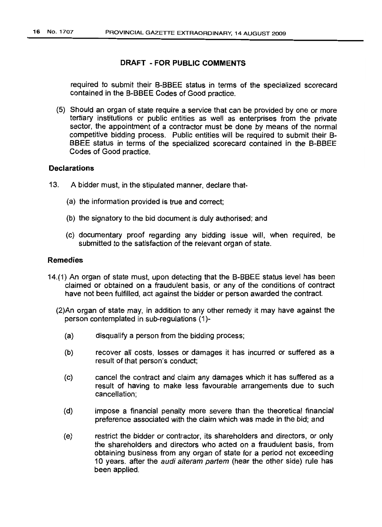required to submit their B-BBEE status in terms of the specialized scorecard contained in the B-BBEE Codes of Good practice.

(5) Should an organ of state require a service that can be provided by one or more tertiary institutions or public entities as well as enterprises from the private sector, the appointment of a contractor must be done by means of the normal competitive bidding process. Public entities will be required to submit their B-BBEE status in terms of the specialized scorecard contained in the B-BBEE Codes of Good practice.

## **Declarations**

- 13. A bidder must, in the stipulated manner, declare that-
	- (a) the information provided is true and correct;
	- (b) the signatory to the bid document is duly authorised; and
	- (c) documentary proof regarding any bidding issue will, when required, be submitted to the satisfaction of the relevant organ of state.

#### Remedies

- 14.(1) An organ of state must, upon detecting that the B-BBEE status level has been claimed or obtained on a fraudulent basis, or any of the conditions of contract have not been fulfilled, act against the bidder or person awarded the contract.
	- (2)An organ of state may, in addition to any other remedy it may have against the person contemplated in sub-regulations (1)-
		- (a) disqualify a person from the bidding process;
		- (b) recover all costs, losses or damages it has incurred or suffered as a result of that person's conduct;
		- (c) cancel the contract and claim any damages which it has suffered as a result of having to make less favourable arrangements due to such cancellation;
		- (d) impose a financial penalty more severe than the theoretical financial preference associated with the claim which was made in the bid; and
		- (e) restrict the bidder or contractor, its shareholders and directors, or only the shareholders and directors who acted on a fraudulent basis, from obtaining business from any organ of state for a period not exceeding 10 years. after the audi alteram partem (hear the other side) rule has been applied.